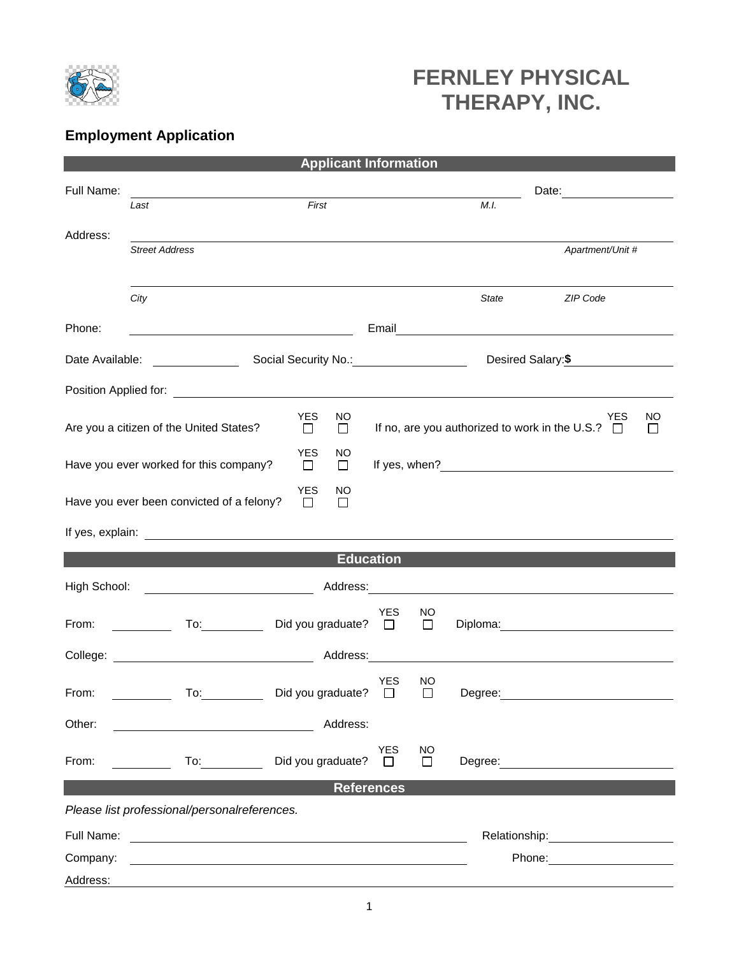

## **FERNLEY PHYSICAL THERAPY, INC.**

## **Employment Application**

| <b>Applicant Information</b>                                               |                                                                                                                                                      |                             |                  |                      |              |         |                                          |  |  |  |
|----------------------------------------------------------------------------|------------------------------------------------------------------------------------------------------------------------------------------------------|-----------------------------|------------------|----------------------|--------------|---------|------------------------------------------|--|--|--|
| Full Name:                                                                 |                                                                                                                                                      |                             |                  |                      |              |         |                                          |  |  |  |
|                                                                            | First<br>Last                                                                                                                                        |                             |                  |                      |              | M.I.    |                                          |  |  |  |
| Address:                                                                   |                                                                                                                                                      |                             |                  |                      |              |         |                                          |  |  |  |
|                                                                            | <b>Street Address</b>                                                                                                                                |                             |                  |                      |              |         | Apartment/Unit #                         |  |  |  |
|                                                                            |                                                                                                                                                      |                             |                  |                      |              |         |                                          |  |  |  |
|                                                                            | City                                                                                                                                                 |                             |                  |                      |              | State   | ZIP Code                                 |  |  |  |
| Phone:                                                                     |                                                                                                                                                      |                             |                  |                      |              |         | Email <u>___________________________</u> |  |  |  |
| Date Available:                                                            |                                                                                                                                                      |                             |                  |                      |              |         | Desired Salary:\$                        |  |  |  |
|                                                                            |                                                                                                                                                      |                             |                  |                      |              |         |                                          |  |  |  |
|                                                                            | <b>YES</b><br>NO<br>YES<br>If no, are you authorized to work in the U.S.? $\Box$<br>Are you a citizen of the United States?<br>$\Box$<br>$\Box$<br>П |                             |                  |                      |              |         | NO                                       |  |  |  |
| <b>YES</b><br>NO<br>Have you ever worked for this company?<br>$\Box$<br>□  |                                                                                                                                                      |                             |                  |                      |              |         |                                          |  |  |  |
| YES<br>NO<br>Have you ever been convicted of a felony?<br>$\Box$<br>$\Box$ |                                                                                                                                                      |                             |                  |                      |              |         |                                          |  |  |  |
|                                                                            |                                                                                                                                                      |                             |                  |                      |              |         |                                          |  |  |  |
|                                                                            |                                                                                                                                                      |                             | <b>Education</b> |                      |              |         |                                          |  |  |  |
| High School:<br><u> 1989 - Johann Barnett, fransk konge</u>                |                                                                                                                                                      |                             |                  |                      |              |         |                                          |  |  |  |
| From:                                                                      | To: $\qquad \qquad$                                                                                                                                  | Did you graduate? $\square$ |                  | <b>YES</b>           | NO<br>$\Box$ |         | Diploma: <u>___________________</u>      |  |  |  |
| College:                                                                   |                                                                                                                                                      |                             | Address:         |                      |              |         |                                          |  |  |  |
| From:                                                                      | To:                                                                                                                                                  | Did you graduate?           |                  | YES<br>□             | ΝO<br>$\Box$ | Degree: |                                          |  |  |  |
| Other:                                                                     |                                                                                                                                                      |                             | Address:         |                      |              |         |                                          |  |  |  |
| From:                                                                      | $\overline{10}$ :                                                                                                                                    | Did you graduate?           |                  | <b>YES</b><br>$\Box$ | ΝO<br>П      |         | Degree: <u>___________________</u>       |  |  |  |
| <b>References</b>                                                          |                                                                                                                                                      |                             |                  |                      |              |         |                                          |  |  |  |
|                                                                            | Please list professional/personalreferences.                                                                                                         |                             |                  |                      |              |         |                                          |  |  |  |
| Full Name:                                                                 | <u> 1989 - Johann Harry Harry Harry Harry Harry Harry Harry Harry Harry Harry Harry Harry Harry Harry Harry Harry</u>                                |                             |                  |                      |              |         |                                          |  |  |  |
| Company:                                                                   | and the control of the control of the control of the control of the control of the control of the control of the                                     |                             |                  |                      |              |         |                                          |  |  |  |
| Address:                                                                   |                                                                                                                                                      |                             |                  |                      |              |         |                                          |  |  |  |